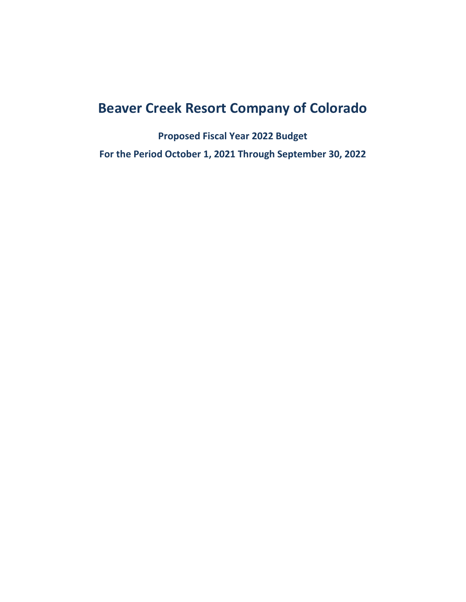# **Beaver Creek Resort Company of Colorado**

**Proposed Fiscal Year 2022 Budget For the Period October 1, 2021 Through September 30, 2022**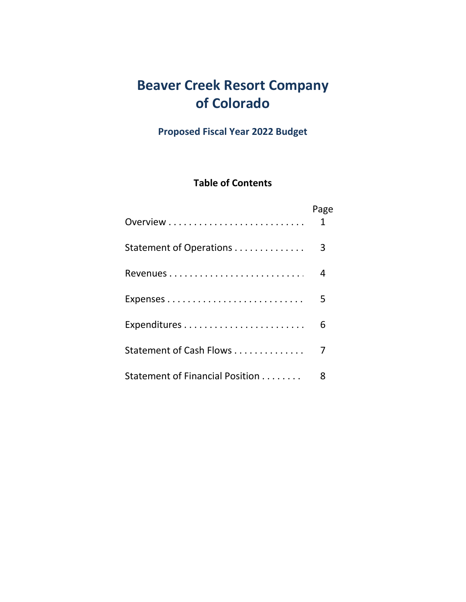## **Beaver Creek Resort Company of Colorado**

**Proposed Fiscal Year 2022 Budget**

### **Table of Contents**

|                                 | Page<br>1 |
|---------------------------------|-----------|
| Statement of Operations         | 3         |
|                                 | 4         |
|                                 | 5         |
|                                 | 6         |
| Statement of Cash Flows         | 7         |
| Statement of Financial Position | 8         |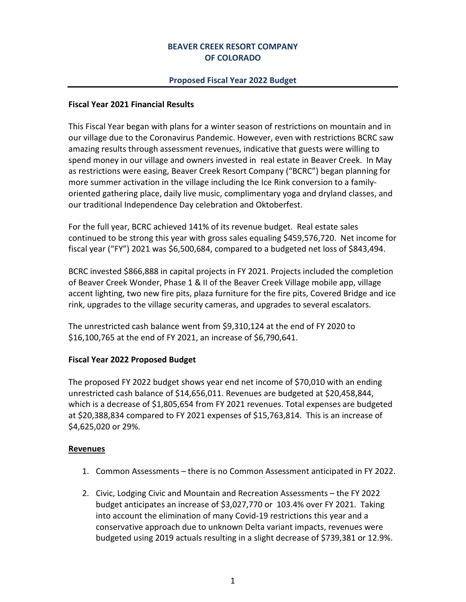#### **BEAVER CREEK RESORT COMPANY OF COLORADO**

#### **Proposed Fiscal Year 2022 Budget**

#### **Fiscal Year 2021 Financial Results**

This Fiscal Year began with plans for a winter season of restrictions on mountain and in our village due to the Coronavirus Pandemic. However, even with restrictions BCRC saw amazing results through assessment revenues, indicative that guests were willing to spend money in our village and owners invested in real estate in Beaver Creek. In May as restrictions were easing, Beaver Creek Resort Company ("BCRC") began planning for more summer activation in the village including the Ice Rink conversion to a familyoriented gathering place, daily live music, complimentary yoga and dryland classes, and our traditional Independence Day celebration and Oktoberfest.

For the full year, BCRC achieved 141% of its revenue budget. Real estate sales continued to be strong this year with gross sales equaling \$459,576,720. Net income for fiscal year ("FY") 2021 was \$6,500,684, compared to a budgeted net loss of \$843,494.

BCRC invested \$866,888 in capital projects in FY 2021. Projects included the completion of Beaver Creek Wonder, Phase 1 & II of the Beaver Creek Village mobile app, village accent lighting, two new fire pits, plaza furniture for the fire pits, Covered Bridge and ice rink, upgrades to the village security cameras, and upgrades to several escalators.

The unrestricted cash balance went from \$9,310,124 at the end of FY 2020 to \$16,100,765 at the end of FY 2021, an increase of \$6,790,641.

#### **Fiscal Year 2022 Proposed Budget**

The proposed FY 2022 budget shows year end net income of \$70,010 with an ending unrestricted cash balance of \$14,656,011. Revenues are budgeted at \$20,458,844, which is a decrease of \$1,805,654 from FY 2021 revenues. Total expenses are budgeted at \$20,388,834 compared to FY 2021 expenses of \$15,763,814. This is an increase of \$4,625,020 or 29%.

#### **Revenues**

- 1. Common Assessments there is no Common Assessment anticipated in FY 2022.
- 2. Civic, Lodging Civic and Mountain and Recreation Assessments the FY 2022 budget anticipates an increase of \$3,027,770 or 103.4% over FY 2021. Taking into account the elimination of many Covid-19 restrictions this year and a conservative approach due to unknown Delta variant impacts, revenues were budgeted using 2019 actuals resulting in a slight decrease of \$739,381 or 12.9%.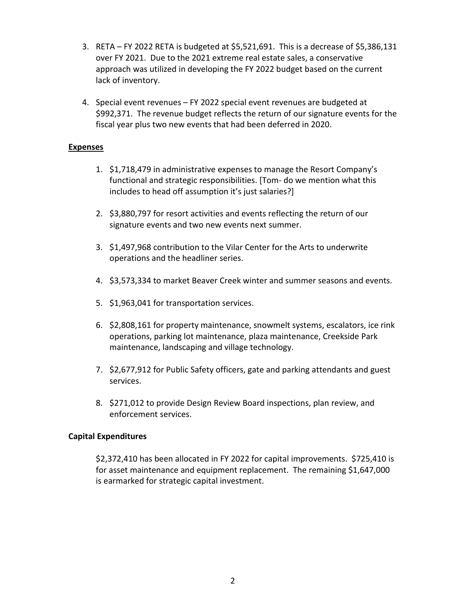- 3. RETA FY 2022 RETA is budgeted at \$5,521,691. This is a decrease of \$5,386,131 over FY 2021. Due to the 2021 extreme real estate sales, a conservative approach was utilized in developing the FY 2022 budget based on the current lack of inventory.
- 4. Special event revenues FY 2022 special event revenues are budgeted at \$992,371. The revenue budget reflects the return of our signature events for the fiscal year plus two new events that had been deferred in 2020.

#### **Expenses**

- 1. \$1,718,479 in administrative expenses to manage the Resort Company's functional and strategic responsibilities. [Tom- do we mention what this includes to head off assumption it's just salaries?]
- 2. \$3,880,797 for resort activities and events reflecting the return of our signature events and two new events next summer.
- 3. \$1,497,968 contribution to the Vilar Center for the Arts to underwrite operations and the headliner series.
- 4. \$3,573,334 to market Beaver Creek winter and summer seasons and events.
- 5. \$1,963,041 for transportation services.
- 6. \$2,808,161 for property maintenance, snowmelt systems, escalators, ice rink operations, parking lot maintenance, plaza maintenance, Creekside Park maintenance, landscaping and village technology.
- 7. \$2,677,912 for Public Safety officers, gate and parking attendants and guest services.
- 8. \$271,012 to provide Design Review Board inspections, plan review, and enforcement services.

#### **Capital Expenditures**

\$2,372,410 has been allocated in FY 2022 for capital improvements. \$725,410 is for asset maintenance and equipment replacement. The remaining \$1,647,000 is earmarked for strategic capital investment.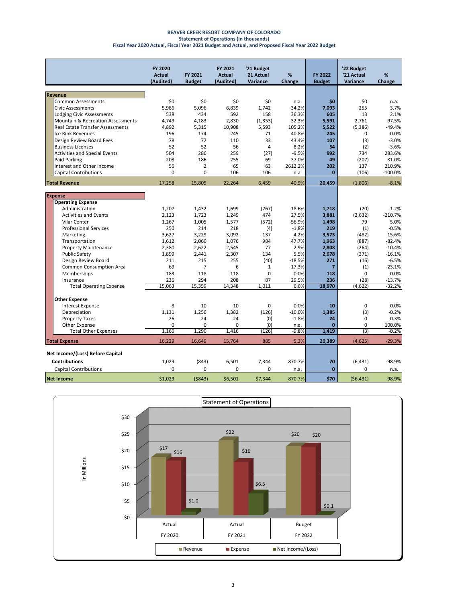#### **BEAVER CREEK RESORT COMPANY OF COLORADO Statement of Operations (in thousands) Fiscal Year 2020 Actual, Fiscal Year 2021 Budget and Actual, and Proposed Fiscal Year 2022 Budget**

|                                              | <b>FY 2020</b><br><b>Actual</b> | <b>FY 2021</b> | <b>FY 2021</b><br><b>Actual</b> | '21 Budget<br>'21 Actual | %                | FY 2022        | '22 Budget<br>'21 Actual | %                 |
|----------------------------------------------|---------------------------------|----------------|---------------------------------|--------------------------|------------------|----------------|--------------------------|-------------------|
|                                              | (Audited)                       | <b>Budget</b>  | (Audited)                       | Variance                 | Change           | <b>Budget</b>  | Variance                 | Change            |
|                                              |                                 |                |                                 |                          |                  |                |                          |                   |
| <b>Revenue</b>                               |                                 |                |                                 |                          |                  |                |                          |                   |
| <b>Common Assessments</b>                    | \$0                             | \$0            | \$0                             | \$0                      | n.a.             | \$0            | \$0                      | n.a.              |
| <b>Civic Assessments</b>                     | 5,986                           | 5,096          | 6,839                           | 1,742                    | 34.2%            | 7,093          | 255                      | 3.7%              |
| <b>Lodging Civic Assessments</b>             | 538                             | 434            | 592                             | 158                      | 36.3%            | 605            | 13                       | 2.1%              |
| <b>Mountain &amp; Recreation Assessments</b> | 4,749                           | 4,183          | 2,830                           | (1, 353)                 | $-32.3%$         | 5,591          | 2,761                    | 97.5%             |
| <b>Real Estate Transfer Assessments</b>      | 4,892                           | 5,315          | 10,908                          | 5,593                    | 105.2%           | 5,522          | (5, 386)                 | $-49.4%$          |
| <b>Ice Rink Revenues</b>                     | 196                             | 174            | 245                             | 71                       | 40.8%            | 245            | 0                        | 0.0%              |
| Design Review Board Fees                     | 78                              | 77             | 110                             | 33                       | 43.4%            | 107            | (3)                      | $-3.0%$           |
| <b>Business Licenses</b>                     | 52                              | 52             | 56                              | 4                        | 8.2%             | 54             | (2)                      | $-3.6%$           |
| <b>Activities and Special Events</b>         | 504                             | 286            | 259                             | (27)                     | $-9.5%$          | 992            | 734                      | 283.6%            |
| Paid Parking                                 | 208                             | 186            | 255                             | 69                       | 37.0%            | 49             | (207)                    | $-81.0%$          |
| Interest and Other Income                    | 56                              | $\overline{2}$ | 65                              | 63                       | 2612.2%          | 202            | 137                      | 210.9%            |
| <b>Capital Contributions</b>                 | $\Omega$                        | $\Omega$       | 106                             | 106                      | n.a.             | $\mathbf{0}$   | (106)                    | $-100.0%$         |
| <b>Total Revenue</b>                         | 17,258                          | 15,805         | 22,264                          | 6,459                    | 40.9%            | 20,459         | (1,806)                  | $-8.1%$           |
| <b>Expense</b>                               |                                 |                |                                 |                          |                  |                |                          |                   |
| <b>Operating Expense</b>                     |                                 |                |                                 |                          |                  |                |                          |                   |
| Administration                               | 1,207                           | 1,432          | 1,699                           | (267)                    | $-18.6%$         | 1,718          | (20)                     | $-1.2%$           |
| <b>Activities and Events</b>                 | 2,123                           | 1,723          | 1,249                           | 474                      | 27.5%            | 3,881          | (2,632)                  | $-210.7%$         |
| Vilar Center                                 | 1,267                           | 1,005          | 1,577                           | (572)                    | $-56.9%$         | 1,498          | 79                       | 5.0%              |
| <b>Professional Services</b>                 | 250                             | 214            | 218                             | (4)                      | $-1.8%$          | 219            | (1)                      | $-0.5%$           |
| Marketing                                    | 3,627                           | 3,229          | 3,092                           | 137                      | 4.2%             | 3,573          | (482)                    | $-15.6%$          |
| Transportation                               | 1,612                           | 2,060          | 1,076                           | 984                      | 47.7%            | 1,963          | (887)                    | $-82.4%$          |
| <b>Property Maintenance</b>                  | 2,380                           | 2,622          | 2,545                           | 77                       | 2.9%             | 2,808          | (264)                    | $-10.4%$          |
| <b>Public Safety</b>                         | 1,899                           | 2,441          | 2,307                           | 134                      | 5.5%             | 2,678          | (371)                    | $-16.1%$          |
| Design Review Board                          | 211                             | 215            | 255                             | (40)                     | $-18.5%$         | 271            | (16)                     | $-6.5%$           |
| <b>Common Consumption Area</b>               | 69                              | 7              | 6                               | 1                        | 17.3%            | $\overline{7}$ | (1)                      | $-23.1%$          |
| Memberships                                  | 183                             | 118            | 118                             | 0                        | 0.0%             | 118            | $\mathbf 0$              | 0.0%              |
| Insurance                                    | 236                             | 294            | 208                             | 87                       | 29.5%            | 236            | (28)                     | $-13.7%$          |
| <b>Total Operating Expense</b>               | 15.063                          | 15.359         | 14.348                          | 1.011                    | 6.6%             | 18,970         | (4, 622)                 | $-32.2%$          |
|                                              |                                 |                |                                 |                          |                  |                |                          |                   |
| <b>Other Expense</b>                         |                                 |                |                                 |                          |                  |                |                          |                   |
| <b>Interest Expense</b>                      | 8<br>1.131                      | 10<br>1.256    | 10<br>1.382                     | 0<br>(126)               | 0.0%<br>$-10.0%$ | 10             | $\mathbf 0$<br>(3)       | 0.0%<br>$-0.2%$   |
| Depreciation                                 | 26                              | 24             | 24                              |                          | $-1.8%$          | 1,385<br>24    | $\Omega$                 | 0.3%              |
| <b>Property Taxes</b><br>Other Expense       | 0                               | $\Omega$       | 0                               | (0)<br>(0)               |                  | $\mathbf{0}$   | 0                        |                   |
| <b>Total Other Expenses</b>                  | 1,166                           | 1,290          | 1,416                           | (126)                    | n.a.<br>$-9.8%$  | 1,419          | (3)                      | 100.0%<br>$-0.2%$ |
|                                              |                                 |                |                                 |                          |                  |                |                          |                   |
| <b>Total Expense</b>                         | 16,229                          | 16,649         | 15,764                          | 885                      | 5.3%             | 20,389         | (4,625)                  | $-29.3%$          |
| Net Income/(Loss) Before Capital             |                                 |                |                                 |                          |                  |                |                          |                   |
| <b>Contributions</b>                         | 1,029                           | (843)          | 6,501                           | 7,344                    | 870.7%           | 70             | (6, 431)                 | -98.9%            |
| <b>Capital Contributions</b>                 | $\Omega$                        | $\mathbf 0$    | $\mathbf 0$                     | 0                        | n.a.             | $\mathbf{0}$   | 0                        | n.a.              |
| <b>Net Income</b>                            | \$1.029                         | (5843)         | \$6,501                         | \$7.344                  | 870.7%           | \$70           | (56, 431)                | $-98.9%$          |

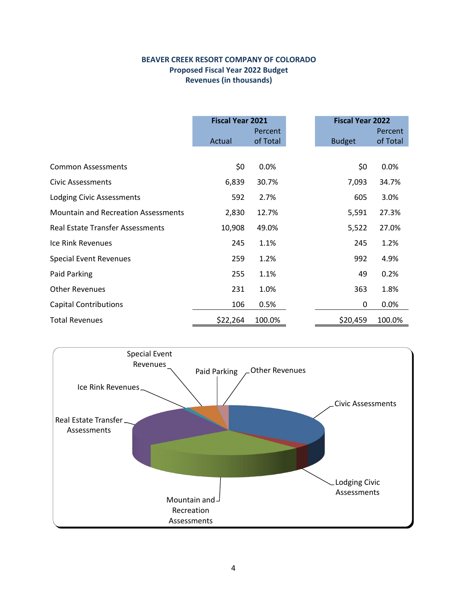#### **BEAVER CREEK RESORT COMPANY OF COLORADO Proposed Fiscal Year 2022 Budget Revenues (in thousands)**

|                                            | <b>Fiscal Year 2021</b> |                     | <b>Fiscal Year 2022</b> |                     |
|--------------------------------------------|-------------------------|---------------------|-------------------------|---------------------|
|                                            | Actual                  | Percent<br>of Total | <b>Budget</b>           | Percent<br>of Total |
|                                            |                         |                     |                         |                     |
| <b>Common Assessments</b>                  | \$0                     | 0.0%                | \$0                     | 0.0%                |
| Civic Assessments                          | 6,839                   | 30.7%               | 7,093                   | 34.7%               |
| <b>Lodging Civic Assessments</b>           | 592                     | 2.7%                | 605                     | 3.0%                |
| <b>Mountain and Recreation Assessments</b> | 2,830                   | 12.7%               | 5,591                   | 27.3%               |
| <b>Real Estate Transfer Assessments</b>    | 10,908                  | 49.0%               | 5,522                   | 27.0%               |
| Ice Rink Revenues                          | 245                     | 1.1%                | 245                     | 1.2%                |
| <b>Special Event Revenues</b>              | 259                     | 1.2%                | 992                     | 4.9%                |
| Paid Parking                               | 255                     | 1.1%                | 49                      | 0.2%                |
| <b>Other Revenues</b>                      | 231                     | 1.0%                | 363                     | 1.8%                |
| <b>Capital Contributions</b>               | 106                     | 0.5%                | 0                       | 0.0%                |
| <b>Total Revenues</b>                      | \$22,264                | 100.0%              | \$20,459                | 100.0%              |

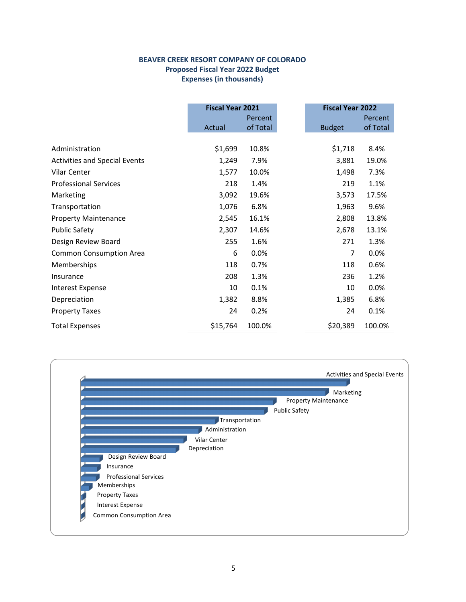#### **BEAVER CREEK RESORT COMPANY OF COLORADO Proposed Fiscal Year 2022 Budget Expenses (in thousands)**

|                                      | <b>Fiscal Year 2021</b> |          | <b>Fiscal Year 2022</b> |          |  |
|--------------------------------------|-------------------------|----------|-------------------------|----------|--|
|                                      |                         | Percent  |                         | Percent  |  |
|                                      | Actual                  | of Total | <b>Budget</b>           | of Total |  |
|                                      |                         |          |                         |          |  |
| Administration                       | \$1,699                 | 10.8%    | \$1,718                 | 8.4%     |  |
| <b>Activities and Special Events</b> | 1,249                   | 7.9%     | 3,881                   | 19.0%    |  |
| Vilar Center                         | 1,577                   | 10.0%    | 1,498                   | 7.3%     |  |
| <b>Professional Services</b>         | 218                     | 1.4%     | 219                     | 1.1%     |  |
| Marketing                            | 3,092                   | 19.6%    | 3,573                   | 17.5%    |  |
| Transportation                       | 1,076                   | 6.8%     | 1,963                   | 9.6%     |  |
| <b>Property Maintenance</b>          | 2,545                   | 16.1%    | 2,808                   | 13.8%    |  |
| <b>Public Safety</b>                 | 2,307                   | 14.6%    | 2,678                   | 13.1%    |  |
| Design Review Board                  | 255                     | 1.6%     | 271                     | 1.3%     |  |
| <b>Common Consumption Area</b>       | 6                       | 0.0%     | 7                       | 0.0%     |  |
| Memberships                          | 118                     | 0.7%     | 118                     | 0.6%     |  |
| Insurance                            | 208                     | 1.3%     | 236                     | 1.2%     |  |
| <b>Interest Expense</b>              | 10                      | 0.1%     | 10                      | 0.0%     |  |
| Depreciation                         | 1,382                   | 8.8%     | 1,385                   | 6.8%     |  |
| <b>Property Taxes</b>                | 24                      | 0.2%     | 24                      | 0.1%     |  |
| <b>Total Expenses</b>                | \$15,764                | 100.0%   | \$20,389                | 100.0%   |  |

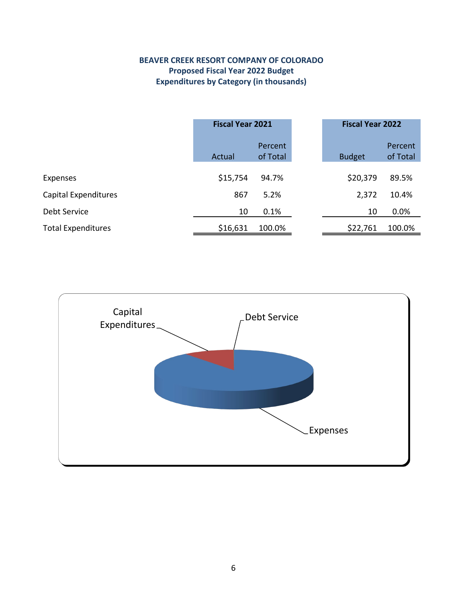### **BEAVER CREEK RESORT COMPANY OF COLORADO Proposed Fiscal Year 2022 Budget Expenditures by Category (in thousands)**

|                             | <b>Fiscal Year 2021</b> |                     | <b>Fiscal Year 2022</b> |                     |
|-----------------------------|-------------------------|---------------------|-------------------------|---------------------|
|                             | Actual                  | Percent<br>of Total | <b>Budget</b>           | Percent<br>of Total |
| <b>Expenses</b>             | \$15,754                | 94.7%               | \$20,379                | 89.5%               |
| <b>Capital Expenditures</b> | 867                     | 5.2%                | 2,372                   | 10.4%               |
| Debt Service                | 10                      | 0.1%                | 10                      | 0.0%                |
| <b>Total Expenditures</b>   | \$16,631                | 100.0%              | \$22,761                | 100.0%              |

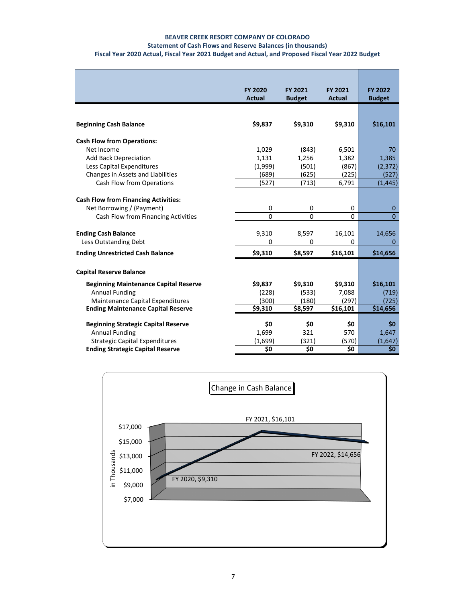#### **BEAVER CREEK RESORT COMPANY OF COLORADO**

#### **Statement of Cash Flows and Reserve Balances (in thousands)**

#### **Fiscal Year 2020 Actual, Fiscal Year 2021 Budget and Actual, and Proposed Fiscal Year 2022 Budget**

|                                              | <b>FY 2020</b><br>Actual | FY 2021<br><b>Budget</b> | FY 2021<br><b>Actual</b> | <b>FY 2022</b><br><b>Budget</b> |
|----------------------------------------------|--------------------------|--------------------------|--------------------------|---------------------------------|
|                                              |                          |                          |                          |                                 |
| <b>Beginning Cash Balance</b>                | \$9,837                  | \$9,310                  | \$9,310                  | \$16,101                        |
| <b>Cash Flow from Operations:</b>            |                          |                          |                          |                                 |
| Net Income                                   | 1,029                    | (843)                    | 6,501                    | 70                              |
| <b>Add Back Depreciation</b>                 | 1,131                    | 1,256                    | 1,382                    | 1,385                           |
| Less Capital Expenditures                    | (1,999)                  | (501)                    | (867)                    | (2, 372)                        |
| Changes in Assets and Liabilities            | (689)                    | (625)                    | (225)                    | (527)                           |
| Cash Flow from Operations                    | (527)                    | (713)                    | 6,791                    | (1, 445)                        |
|                                              |                          |                          |                          |                                 |
| <b>Cash Flow from Financing Activities:</b>  |                          |                          |                          |                                 |
| Net Borrowing / (Payment)                    | 0                        | 0                        | 0                        | 0                               |
| Cash Flow from Financing Activities          | 0                        | $\Omega$                 | $\Omega$                 | $\Omega$                        |
| <b>Ending Cash Balance</b>                   | 9,310                    | 8,597                    | 16,101                   | 14,656                          |
| Less Outstanding Debt                        | 0                        | $\Omega$                 | $\Omega$                 | 0                               |
| <b>Ending Unrestricted Cash Balance</b>      | \$9,310                  | \$8,597                  | \$16,101                 | \$14,656                        |
|                                              |                          |                          |                          |                                 |
| <b>Capital Reserve Balance</b>               |                          |                          |                          |                                 |
| <b>Beginning Maintenance Capital Reserve</b> | \$9,837                  | \$9,310                  | \$9,310                  | \$16,101                        |
| <b>Annual Funding</b>                        | (228)                    | (533)                    | 7,088                    | (719)                           |
| Maintenance Capital Expenditures             | (300)                    | (180)                    | (297)                    | (725)                           |
| <b>Ending Maintenance Capital Reserve</b>    | \$9,310                  | \$8,597                  | $\overline{$}16,101$     | \$14,656                        |
|                                              |                          |                          |                          |                                 |
| <b>Beginning Strategic Capital Reserve</b>   | \$0                      | \$0<br>321               | \$0                      | \$0                             |
| <b>Annual Funding</b>                        | 1,699                    |                          | 570                      | 1,647                           |
| Strategic Capital Expenditures               | (1,699)<br>\$0           | (321)<br>\$0             | (570)<br>\$0             | (1,647)<br>\$0                  |
| <b>Ending Strategic Capital Reserve</b>      |                          |                          |                          |                                 |